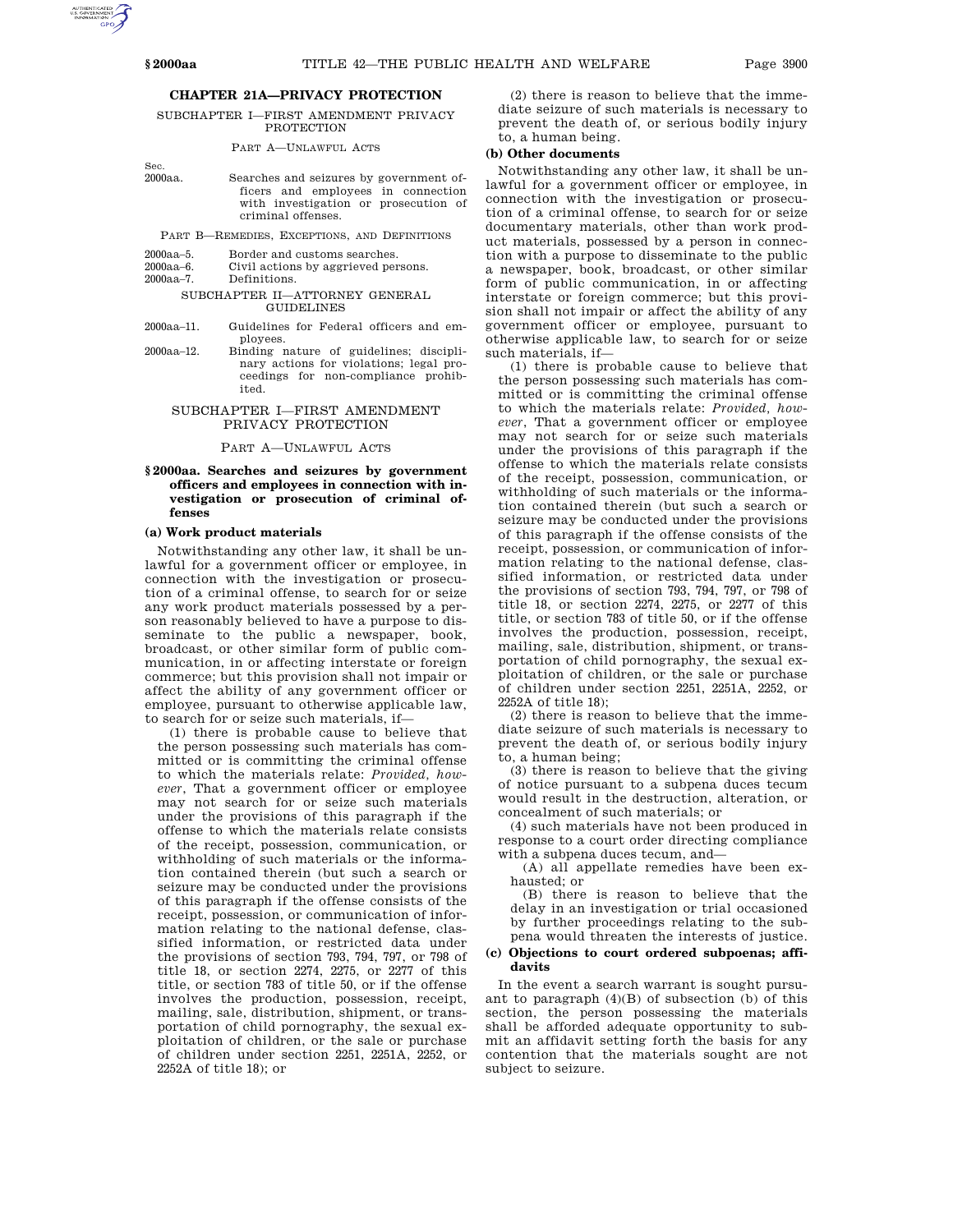### **CHAPTER 21A—PRIVACY PROTECTION**

SUBCHAPTER I—FIRST AMENDMENT PRIVACY PROTECTION

### PART A—UNLAWFUL ACTS

Sec.<br>2000aa

Searches and seizures by government officers and employees in connection with investigation or prosecution of criminal offenses.

### PART B—REMEDIES, EXCEPTIONS, AND DEFINITIONS

2000aa–5. Border and customs searches.

2000aa–6. Civil actions by aggrieved persons. Definitions.

#### SUBCHAPTER II—ATTORNEY GENERAL GUIDELINES

- 2000aa–11. Guidelines for Federal officers and employees.
- 2000aa–12. Binding nature of guidelines; disciplinary actions for violations; legal proceedings for non-compliance prohibited.

# SUBCHAPTER I—FIRST AMENDMENT PRIVACY PROTECTION

PART A—UNLAWFUL ACTS

## **§ 2000aa. Searches and seizures by government officers and employees in connection with investigation or prosecution of criminal offenses**

### **(a) Work product materials**

Notwithstanding any other law, it shall be unlawful for a government officer or employee, in connection with the investigation or prosecution of a criminal offense, to search for or seize any work product materials possessed by a person reasonably believed to have a purpose to disseminate to the public a newspaper, book, broadcast, or other similar form of public communication, in or affecting interstate or foreign commerce; but this provision shall not impair or affect the ability of any government officer or employee, pursuant to otherwise applicable law, to search for or seize such materials, if—

(1) there is probable cause to believe that the person possessing such materials has committed or is committing the criminal offense to which the materials relate: *Provided, however*, That a government officer or employee may not search for or seize such materials under the provisions of this paragraph if the offense to which the materials relate consists of the receipt, possession, communication, or withholding of such materials or the information contained therein (but such a search or seizure may be conducted under the provisions of this paragraph if the offense consists of the receipt, possession, or communication of information relating to the national defense, classified information, or restricted data under the provisions of section 793, 794, 797, or 798 of title 18, or section 2274, 2275, or 2277 of this title, or section 783 of title 50, or if the offense involves the production, possession, receipt, mailing, sale, distribution, shipment, or transportation of child pornography, the sexual exploitation of children, or the sale or purchase of children under section 2251, 2251A, 2252, or 2252A of title 18); or

(2) there is reason to believe that the immediate seizure of such materials is necessary to prevent the death of, or serious bodily injury to, a human being.

# **(b) Other documents**

Notwithstanding any other law, it shall be unlawful for a government officer or employee, in connection with the investigation or prosecution of a criminal offense, to search for or seize documentary materials, other than work product materials, possessed by a person in connection with a purpose to disseminate to the public a newspaper, book, broadcast, or other similar form of public communication, in or affecting interstate or foreign commerce; but this provision shall not impair or affect the ability of any government officer or employee, pursuant to otherwise applicable law, to search for or seize such materials, if—

(1) there is probable cause to believe that the person possessing such materials has committed or is committing the criminal offense to which the materials relate: *Provided, however*, That a government officer or employee may not search for or seize such materials under the provisions of this paragraph if the offense to which the materials relate consists of the receipt, possession, communication, or withholding of such materials or the information contained therein (but such a search or seizure may be conducted under the provisions of this paragraph if the offense consists of the receipt, possession, or communication of information relating to the national defense, classified information, or restricted data under the provisions of section 793, 794, 797, or 798 of title 18, or section 2274, 2275, or 2277 of this title, or section 783 of title 50, or if the offense involves the production, possession, receipt, mailing, sale, distribution, shipment, or transportation of child pornography, the sexual exploitation of children, or the sale or purchase of children under section 2251, 2251A, 2252, or 2252A of title 18);

(2) there is reason to believe that the immediate seizure of such materials is necessary to prevent the death of, or serious bodily injury to, a human being;

(3) there is reason to believe that the giving of notice pursuant to a subpena duces tecum would result in the destruction, alteration, or concealment of such materials; or

(4) such materials have not been produced in response to a court order directing compliance with a subpena duces tecum, and—

(A) all appellate remedies have been exhausted; or

(B) there is reason to believe that the delay in an investigation or trial occasioned by further proceedings relating to the subpena would threaten the interests of justice.

### **(c) Objections to court ordered subpoenas; affidavits**

In the event a search warrant is sought pursuant to paragraph (4)(B) of subsection (b) of this section, the person possessing the materials shall be afforded adequate opportunity to submit an affidavit setting forth the basis for any contention that the materials sought are not subject to seizure.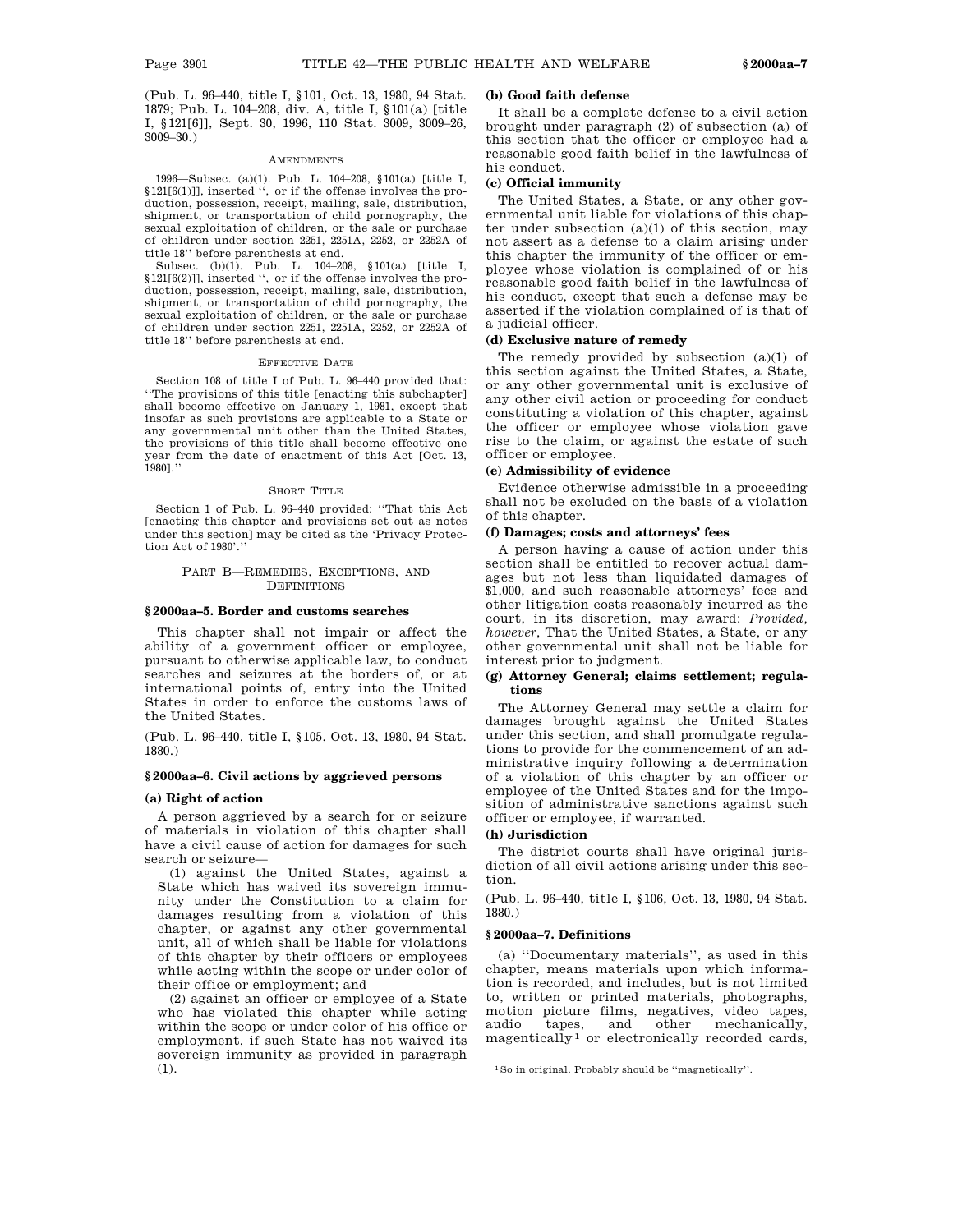(Pub. L. 96–440, title I, §101, Oct. 13, 1980, 94 Stat. 1879; Pub. L. 104–208, div. A, title I, §101(a) [title I, §121[6]], Sept. 30, 1996, 110 Stat. 3009, 3009–26, 3009–30.)

### AMENDMENTS

1996—Subsec. (a)(1). Pub. L. 104–208, §101(a) [title I, §121[6(1)]], inserted '', or if the offense involves the production, possession, receipt, mailing, sale, distribution, shipment, or transportation of child pornography, the sexual exploitation of children, or the sale or purchase of children under section 2251, 2251A, 2252, or 2252A of title 18'' before parenthesis at end.

Subsec. (b)(1). Pub. L. 104–208, §101(a) [title I, §121[6(2)]], inserted '', or if the offense involves the production, possession, receipt, mailing, sale, distribution, shipment, or transportation of child pornography, the sexual exploitation of children, or the sale or purchase of children under section 2251, 2251A, 2252, or 2252A of title 18'' before parenthesis at end.

#### EFFECTIVE DATE

Section 108 of title I of Pub. L. 96–440 provided that: ''The provisions of this title [enacting this subchapter] shall become effective on January 1, 1981, except that insofar as such provisions are applicable to a State or any governmental unit other than the United States, the provisions of this title shall become effective one year from the date of enactment of this Act [Oct. 13, 1980].''

#### SHORT TITLE

Section 1 of Pub. L. 96–440 provided: ''That this Act [enacting this chapter and provisions set out as notes under this section] may be cited as the 'Privacy Protection Act of 1980'.''

## PART B—REMEDIES, EXCEPTIONS, AND DEFINITIONS

### **§ 2000aa–5. Border and customs searches**

This chapter shall not impair or affect the ability of a government officer or employee, pursuant to otherwise applicable law, to conduct searches and seizures at the borders of, or at international points of, entry into the United States in order to enforce the customs laws of the United States.

(Pub. L. 96–440, title I, §105, Oct. 13, 1980, 94 Stat. 1880.)

# **§ 2000aa–6. Civil actions by aggrieved persons**

### **(a) Right of action**

A person aggrieved by a search for or seizure of materials in violation of this chapter shall have a civil cause of action for damages for such search or seizure—

(1) against the United States, against a State which has waived its sovereign immunity under the Constitution to a claim for damages resulting from a violation of this chapter, or against any other governmental unit, all of which shall be liable for violations of this chapter by their officers or employees while acting within the scope or under color of their office or employment; and

(2) against an officer or employee of a State who has violated this chapter while acting within the scope or under color of his office or employment, if such State has not waived its sovereign immunity as provided in paragraph (1).

# **(b) Good faith defense**

It shall be a complete defense to a civil action brought under paragraph (2) of subsection (a) of this section that the officer or employee had a reasonable good faith belief in the lawfulness of his conduct.

# **(c) Official immunity**

The United States, a State, or any other governmental unit liable for violations of this chapter under subsection  $(a)(1)$  of this section, may not assert as a defense to a claim arising under this chapter the immunity of the officer or employee whose violation is complained of or his reasonable good faith belief in the lawfulness of his conduct, except that such a defense may be asserted if the violation complained of is that of a judicial officer.

# **(d) Exclusive nature of remedy**

The remedy provided by subsection  $(a)(1)$  of this section against the United States, a State, or any other governmental unit is exclusive of any other civil action or proceeding for conduct constituting a violation of this chapter, against the officer or employee whose violation gave rise to the claim, or against the estate of such officer or employee.

### **(e) Admissibility of evidence**

Evidence otherwise admissible in a proceeding shall not be excluded on the basis of a violation of this chapter.

### **(f) Damages; costs and attorneys' fees**

A person having a cause of action under this section shall be entitled to recover actual damages but not less than liquidated damages of \$1,000, and such reasonable attorneys' fees and other litigation costs reasonably incurred as the court, in its discretion, may award: *Provided, however*, That the United States, a State, or any other governmental unit shall not be liable for interest prior to judgment.

# **(g) Attorney General; claims settlement; regulations**

The Attorney General may settle a claim for damages brought against the United States under this section, and shall promulgate regulations to provide for the commencement of an administrative inquiry following a determination of a violation of this chapter by an officer or employee of the United States and for the imposition of administrative sanctions against such officer or employee, if warranted.

# **(h) Jurisdiction**

The district courts shall have original jurisdiction of all civil actions arising under this section.

(Pub. L. 96–440, title I, §106, Oct. 13, 1980, 94 Stat. 1880.)

### **§ 2000aa–7. Definitions**

(a) ''Documentary materials'', as used in this chapter, means materials upon which information is recorded, and includes, but is not limited to, written or printed materials, photographs, motion picture films, negatives, video tapes, audio tapes, and other mechanically, magentically<sup>1</sup> or electronically recorded cards,

<sup>1</sup>So in original. Probably should be ''magnetically''.